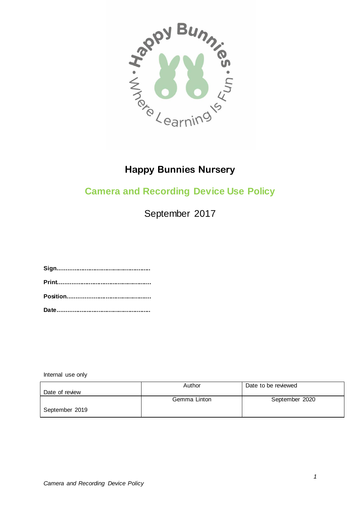

## **Happy Bunnies Nursery**

## **Camera and Recording Device Use Policy**

September 2017

**Sign....................................................... Print....................................................... Position................................................. Date.......................................................**

Internal use only

|                | Author       | Date to be reviewed |
|----------------|--------------|---------------------|
| Date of review |              |                     |
|                | Gemma Linton | September 2020      |
| September 2019 |              |                     |